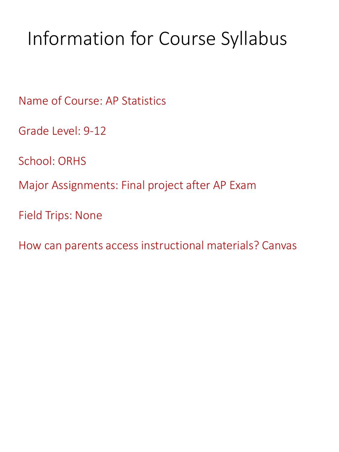# Information for Course Syllabus

Name of Course: AP Statistics

Grade Level: 9-12

School: ORHS

Major Assignments: Final project after AP Exam

Field Trips: None

How can parents access instructional materials? Canvas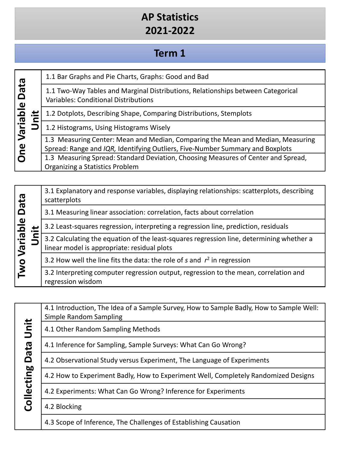#### **Term 1**

| <b>Data</b><br>$\mathbf{\omega}$<br>$\overline{\mathbf{a}}$<br>lei,<br>$\bar{z}$<br>e<br>C |  | 1.1 Bar Graphs and Pie Charts, Graphs: Good and Bad                                                                                                              |
|--------------------------------------------------------------------------------------------|--|------------------------------------------------------------------------------------------------------------------------------------------------------------------|
|                                                                                            |  | 1.1 Two-Way Tables and Marginal Distributions, Relationships between Categorical<br><b>Variables: Conditional Distributions</b>                                  |
|                                                                                            |  | 1.2 Dotplots, Describing Shape, Comparing Distributions, Stemplots                                                                                               |
|                                                                                            |  | 1.2 Histograms, Using Histograms Wisely                                                                                                                          |
|                                                                                            |  | 1.3 Measuring Center: Mean and Median, Comparing the Mean and Median, Measuring<br>Spread: Range and IQR, Identifying Outliers, Five-Number Summary and Boxplots |
| $\mathbf O$                                                                                |  | 1.3 Measuring Spread: Standard Deviation, Choosing Measures of Center and Spread,<br>Organizing a Statistics Problem                                             |

| eta<br>$\mathbf{\underline{\omega}}$<br>$\overline{\mathbf{a}}$<br>Varial<br><b>Lwo</b> |  | 3.1 Explanatory and response variables, displaying relationships: scatterplots, describing<br>scatterplots                              |
|-----------------------------------------------------------------------------------------|--|-----------------------------------------------------------------------------------------------------------------------------------------|
|                                                                                         |  | 3.1 Measuring linear association: correlation, facts about correlation                                                                  |
|                                                                                         |  | 3.2 Least-squares regression, interpreting a regression line, prediction, residuals                                                     |
|                                                                                         |  | 3.2 Calculating the equation of the least-squares regression line, determining whether a<br>linear model is appropriate: residual plots |
|                                                                                         |  | 3.2 How well the line fits the data: the role of s and $r2$ in regression                                                               |
|                                                                                         |  | 3.2 Interpreting computer regression output, regression to the mean, correlation and<br>regression wisdom                               |

|                     | 4. LIII<br>Simple |
|---------------------|-------------------|
| $\epsilon$          | 4.1 Ot            |
| ത<br>うち             | 4.1 Inf           |
| ہ                   | 4.2 Ok            |
| <b>b0</b><br>ដ<br>ប | 4.2 Ho            |
| ¢                   | 4.2 Ex            |
|                     | 4.2 Bl            |
|                     |                   |

| 4.1 Introduction, The Idea of a Sample Survey, How to Sample Badly, How to Sample Well:<br>Simple Random Sampling |
|-------------------------------------------------------------------------------------------------------------------|
| 4.1 Other Random Sampling Methods                                                                                 |
| 4.1 Inference for Sampling, Sample Surveys: What Can Go Wrong?                                                    |
| 4.2 Observational Study versus Experiment, The Language of Experiments                                            |
| 4.2 How to Experiment Badly, How to Experiment Well, Completely Randomized Designs                                |
| 4.2 Experiments: What Can Go Wrong? Inference for Experiments                                                     |
| 4.2 Blocking                                                                                                      |
|                                                                                                                   |

4.3 Scope of Inference, The Challenges of Establishing Causation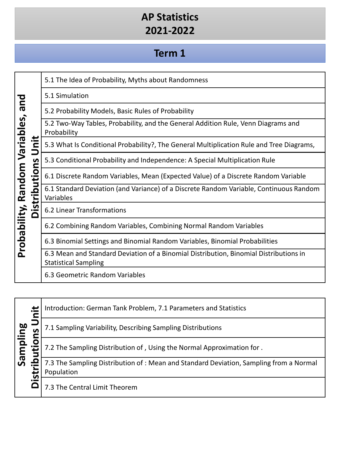#### **Term 1**

|                                |                        | 5.1 The Idea of Probability, Myths about Randomness                                                                  |
|--------------------------------|------------------------|----------------------------------------------------------------------------------------------------------------------|
| pue                            |                        | 5.1 Simulation                                                                                                       |
|                                |                        | 5.2 Probability Models, Basic Rules of Probability                                                                   |
|                                |                        | 5.2 Two-Way Tables, Probability, and the General Addition Rule, Venn Diagrams and<br>Probability                     |
|                                | ≝.<br>$\mathbf{z}$     | 5.3 What Is Conditional Probability?, The General Multiplication Rule and Tree Diagrams,                             |
|                                | S                      | 5.3 Conditional Probability and Independence: A Special Multiplication Rule                                          |
|                                | ition:                 | 6.1 Discrete Random Variables, Mean (Expected Value) of a Discrete Random Variable                                   |
| Probability, Random Variables, | tribu <sup>-</sup>     | 6.1 Standard Deviation (and Variance) of a Discrete Random Variable, Continuous Random<br>Variables                  |
|                                | <u>∾</u> .<br>$\Delta$ | 6.2 Linear Transformations                                                                                           |
|                                |                        | 6.2 Combining Random Variables, Combining Normal Random Variables                                                    |
|                                |                        | 6.3 Binomial Settings and Binomial Random Variables, Binomial Probabilities                                          |
|                                |                        | 6.3 Mean and Standard Deviation of a Binomial Distribution, Binomial Distributions in<br><b>Statistical Sampling</b> |
|                                |                        | 6.3 Geometric Random Variables                                                                                       |

|          | ≝.                 | Introduction: German Tank Problem, 7.1 Parameters and Statistics                                    |
|----------|--------------------|-----------------------------------------------------------------------------------------------------|
|          | n                  | 7.1 Sampling Variability, Describing Sampling Distributions                                         |
| Sampling |                    | 7.2 The Sampling Distribution of, Using the Normal Approximation for.                               |
|          | 0<br>$\frac{1}{2}$ | 7.3 The Sampling Distribution of: Mean and Standard Deviation, Sampling from a Normal<br>Population |
|          |                    | 7.3 The Central Limit Theorem                                                                       |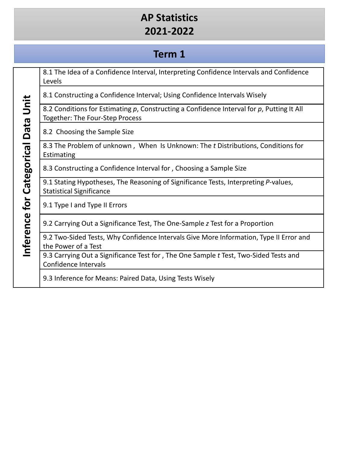## **Term 1**

|             | 8.1 The Idea of a Confidence Interval, Interpreting Confidence Intervals and Confidence<br>Levels                            |
|-------------|------------------------------------------------------------------------------------------------------------------------------|
|             | 8.1 Constructing a Confidence Interval; Using Confidence Intervals Wisely                                                    |
| Unit        | 8.2 Conditions for Estimating p, Constructing a Confidence Interval for p, Putting It All<br>Together: The Four-Step Process |
| <b>Data</b> | 8.2 Choosing the Sample Size                                                                                                 |
| Categorical | 8.3 The Problem of unknown, When Is Unknown: The t Distributions, Conditions for<br>Estimating                               |
|             | 8.3 Constructing a Confidence Interval for, Choosing a Sample Size                                                           |
|             | 9.1 Stating Hypotheses, The Reasoning of Significance Tests, Interpreting P-values,<br><b>Statistical Significance</b>       |
| for         | 9.1 Type I and Type II Errors                                                                                                |
|             | 9.2 Carrying Out a Significance Test, The One-Sample z Test for a Proportion                                                 |
| nference    | 9.2 Two-Sided Tests, Why Confidence Intervals Give More Information, Type II Error and<br>the Power of a Test                |
|             | 9.3 Carrying Out a Significance Test for, The One Sample t Test, Two-Sided Tests and<br>Confidence Intervals                 |
|             | 9.3 Inference for Means: Paired Data, Using Tests Wisely                                                                     |